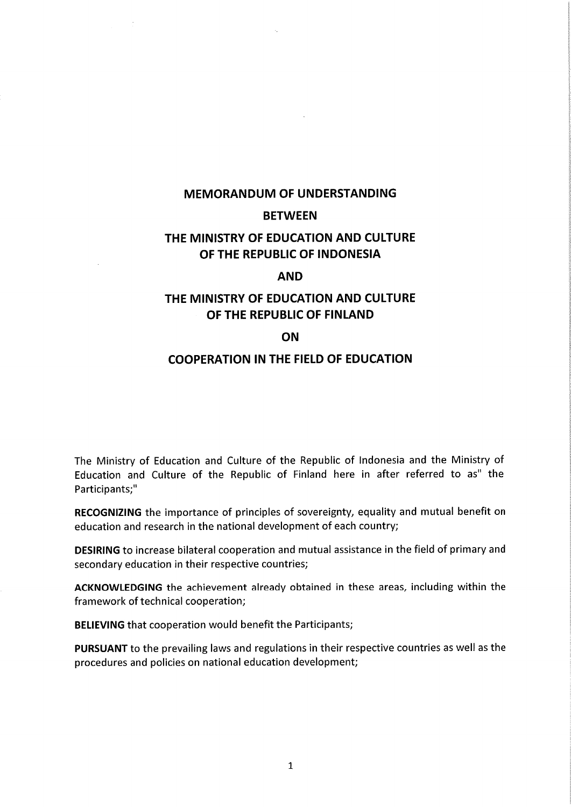# MEMORANDUM OF UNDERSTANDING

### **BETWEEN**

# THE MINISTRY OF EDUCATION AND CULTURE OF THE REPUBLIC OF INDONESIA

### AND

# THE MINISTRY OF EDUCATION AND CULTURE OF THE REPUBLIC OF FINLAND

# ON

# COOPERATION IN THE FIELD OF EDUCATION

The Ministry of Education and Culture of the Republic of Indonesia and the Ministry of Education and Culture of the Republic of Finland here in after referred to as" the Participants;"

RECOGNIZING the importance of principles of sovereignty, equality and mutual benefit on education and research in the national development of each country;

DESIRING to increase bilateral cooperation and mutual assistance in the field of primary and secondary education in their respective countries;

ACKNOWLEDGING the achievement already obtained in these areas, including within the framework of technical cooperation;

BELIEVING that cooperation would benefit the Participants;

PURSUANT to the prevailing laws and regulations in their respective countries as well as the procedures and policies on national education development;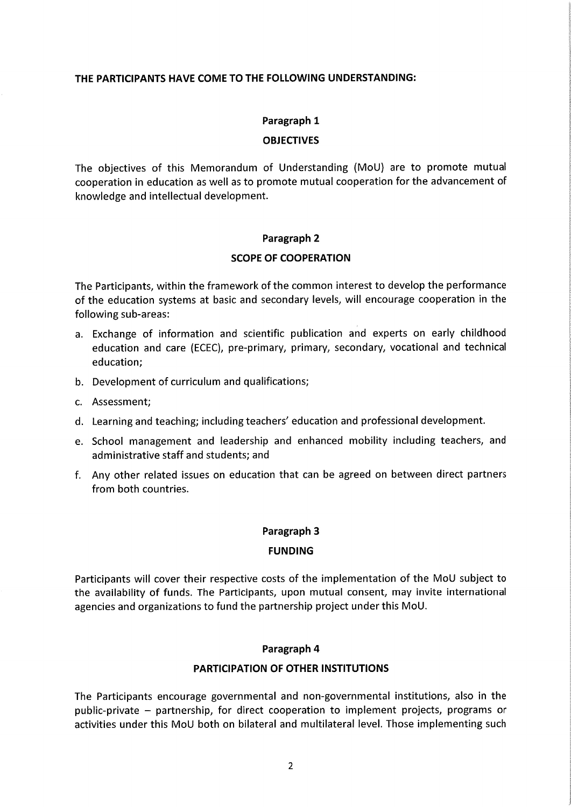### THE PARTICIPANTS HAVE COME TO THE FOLLOWING UNDERSTANDING:

#### Paragraph l

#### **OBJECTIVES**

The objectives of this Memorandum of Understanding (MoU) are to promote mutual cooperation in education as weil as to promote mutual cooperation for the advancement of knowledge and intellectual development.

### Paragraph 2

### SCOPE OF COOPERATION

The Participants, within the framework of the common interest to develop the performance of the education Systems at basic and secondary levels, will encourage cooperation in the following sub-areas:

- a. Exchange of information and scientific publication and experts on early childhood education and care (ECEC), pre-primary, primary, secondary, vocational and technical education;
- b. Development of curriculum and qualifications;
- c. Assessment;
- d. Learning and teaching; including teachers' education and professional development.
- e. School management and leadership and enhanced mobility including teachers, and administrative staff and students; and
- f. Any other related issues on education that can be agreed on between direct partners from both countries.

#### Paragraph 3

#### FUNDING

Participants will cover their respective costs of the implementation of the MoU subject to the availability of funds. The Participants, upon mutual consent, may invite international agencies and organizations to fund the partnership project under this MoU.

#### Paragraph 4

# PARTICIPATION OF OTHER INSTITUTIONS

The Participants encourage governmental and non-governmental institutions, also in the public-private - partnership, for direct cooperation to implement projects, programs or activities under this MoU both on bilateral and multilateral level. Those implementing such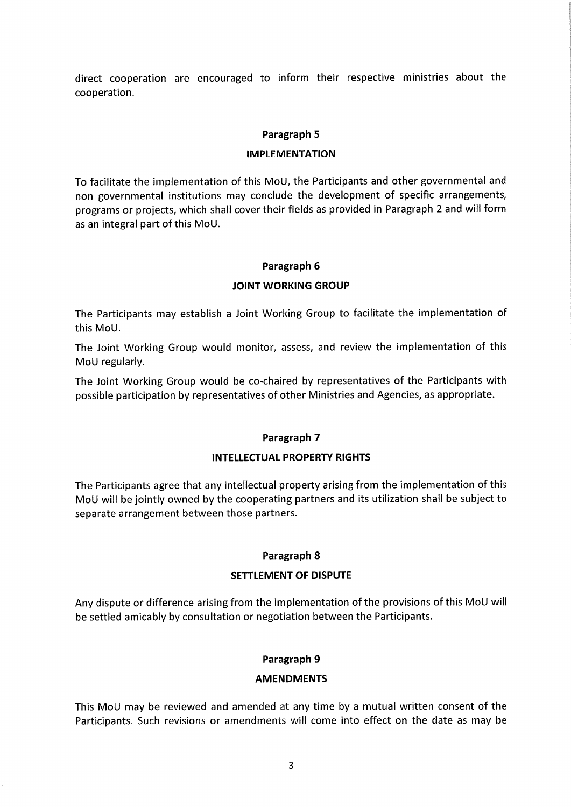direct cooperation are encouraged to inform their respective ministries about the cooperation.

### Paragraph 5

#### IMPLEMENTATION

To facilitate the implementation of this MoU, the Participants and other governmental and non governmental institutions may conclude the development of specific arrangements, programs or projects, which shall cover their fields as provided in Paragraph 2 and will form as an integral part of this MoU.

## Paragraph 6

## JOINT WORKING GROUP

The Participants may establish a Joint Working Group to facilitate the implementation of this MoU.

The Joint Working Group would monitor, assess, and review the implementation of this MoU regularly.

The Joint Working Group would be co-chaired by representatives of the Participants with possible participation by representatives of other Ministries and Agencies, as appropriate.

## Paragraph 7

## INTELLECTUAL PROPERTY RIGHTS

The Participants agree that any intellectual property arising from the implementation of this MoU will be jointly owned by the cooperating partners and its utilization shall be subject to separate arrangement between those partners.

## Paragraph 8

## SETTLEMENT OF DISPUTE

Any dispute or difference arising from the implementation of the provisions of this MoU will be settled amicably by consultation or negotiation between the Participants.

#### Paragraph 9

#### AMENDMENTS

This MoU may be reviewed and amended at any time by a mutual written consent of the Participants. Such revisions or amendments will come into effect on the date as may be